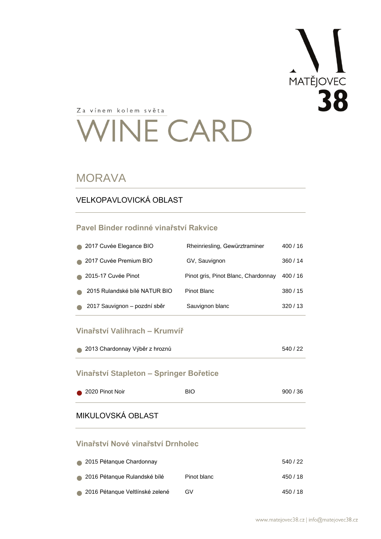

# **VINE CARD**

#### **MORAVA**

#### VELKOPAVLOVICKÁ OBLAST

#### **Pavel Binder rodinné vinařství Rakvice**

| Rheinriesling, Gewürztraminer       | 400/16 |
|-------------------------------------|--------|
| GV, Sauvignon                       | 360/14 |
| Pinot gris, Pinot Blanc, Chardonnay | 400/16 |
| Pinot Blanc                         | 380/15 |
| Sauvignon blanc                     | 320/13 |
|                                     |        |

#### **Vinařství Valihrach – Krumvíř**

| • 2013 Chardonnay Výběr z hroznů | 540 / 22 |
|----------------------------------|----------|
|                                  |          |

#### **Vinařství Stapleton – Springer Bořetice**

| 2020 Pinot Noir | <b>BIO</b> | 900/36 |
|-----------------|------------|--------|
|                 |            |        |

#### MIKULOVSKÁ OBLAST

#### **Vinařství Nové vinařství Drnholec**

| 2015 Pétangue Chardonnay        |             | 540/22   |
|---------------------------------|-------------|----------|
| 2016 Pétangue Rulandské bílé    | Pinot blanc | 450 / 18 |
| 2016 Pétangue Veltlínské zelené | GV          | 450 / 18 |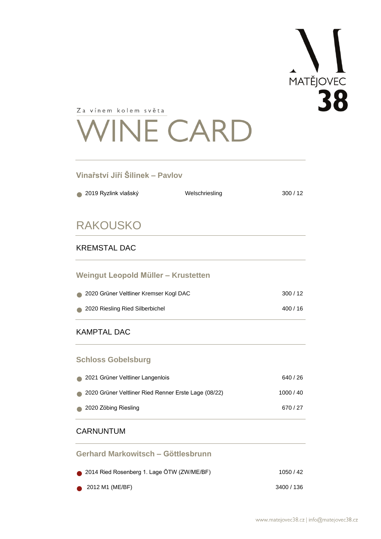

# **VINE CARD**

#### **Vinařství Jiří Šilinek – Pavlov**

| 2019 Ryzlink vlašský                   | Welschriesling | 300/12 |
|----------------------------------------|----------------|--------|
| <b>RAKOUSKO</b>                        |                |        |
| <b>KREMSTAL DAC</b>                    |                |        |
| Weingut Leopold Müller - Krustetten    |                |        |
| 2020 Grüner Veltliner Kremser Kogl DAC |                | 300/12 |
| 2020 Riesling Ried Silberbichel        |                | 400/16 |

#### KAMPTAL DAC

#### **Schloss Gobelsburg**

| 2021 Grüner Veltliner Langenlois                     | 640 / 26  |
|------------------------------------------------------|-----------|
| 2020 Grüner Veltliner Ried Renner Erste Lage (08/22) | 1000 / 40 |
| 2020 Zöbing Riesling                                 | 670/27    |

#### CARNUNTUM

| Gerhard Markowitsch - Göttlesbrunn         |            |
|--------------------------------------------|------------|
| 2014 Ried Rosenberg 1. Lage ÖTW (ZW/ME/BF) | 1050/42    |
| $\bullet$ 2012 M1 (ME/BF)                  | 3400 / 136 |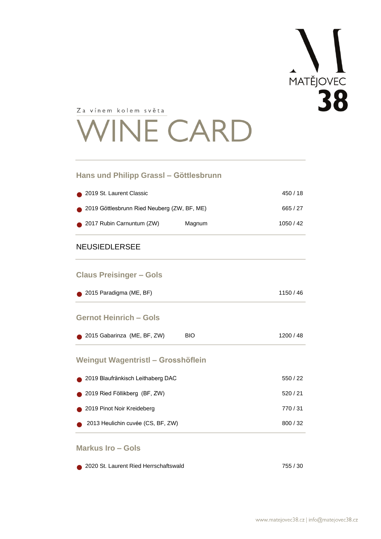

## **INE CARD**

#### **Hans und Philipp Grassl – Göttlesbrunn**

| 2019 St. Laurent Classic                    |        | 450 / 18 |
|---------------------------------------------|--------|----------|
| 2019 Göttlesbrunn Ried Neuberg (ZW, BF, ME) |        | 665 / 27 |
| 2017 Rubin Carnuntum (ZW)                   | Magnum | 1050/42  |

#### NEUSIEDLERSEE

#### **Claus Preisinger – Gols**

#### **Gernot Heinrich – Gols**

| 2015 Gabarinza (ME, BF, ZW) | <b>BIO</b> | 1200 / 48 |
|-----------------------------|------------|-----------|
|-----------------------------|------------|-----------|

#### **Weingut Wagentristl – Grosshöflein**

| ● 2019 Blaufränkisch Leithaberg DAC | 550/22 |
|-------------------------------------|--------|
| 2019 Ried Föllikberg (BF, ZW)       | 520/21 |
| 2019 Pinot Noir Kreideberg          | 770/31 |
| 2013 Heulichin cuvée (CS, BF, ZW)   | 800/32 |

#### **Markus Iro – Gols**

| 2020 St. Laurent Ried Herrschaftswald | 755 / 30 |
|---------------------------------------|----------|
|---------------------------------------|----------|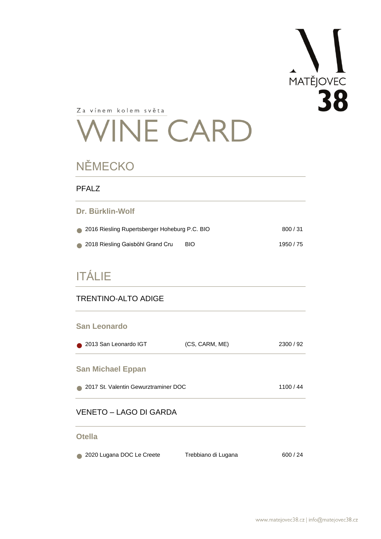

## **VINE CARD**

## NĚMECKO

| <b>PFALZ</b>                                  |            |         |
|-----------------------------------------------|------------|---------|
| Dr. Bürklin-Wolf                              |            |         |
| 2016 Riesling Rupertsberger Hoheburg P.C. BIO |            | 800/31  |
| 2018 Riesling Gaisböhl Grand Cru              | <b>BIO</b> | 1950/75 |

## ITÁLIE

#### TRENTINO-ALTO ADIGE

#### **San Leonardo**

| 2013 San Leonardo IGT    | (CS, CARM, ME) | 2300/92 |
|--------------------------|----------------|---------|
| <b>San Michael Eppan</b> |                |         |

● 2017 St. Valentin Gewurztraminer DOC 1100 / 44

#### VENETO – LAGO DI GARDA

#### **Otella**

• 2020 Lugana DOC Le Creete Trebbiano di Lugana 600 / 24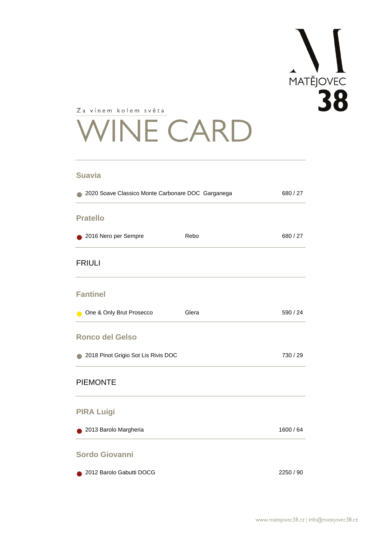# MATĚJOVEC

Za vínem kolem světa

# **VINE CARD**

#### **Suavia**

| 2020 Soave Classico Monte Carbonare DOC Garganega |       | 680 / 27  |
|---------------------------------------------------|-------|-----------|
| <b>Pratello</b>                                   |       |           |
| 2016 Nero per Sempre                              | Rebo  | 680 / 27  |
| <b>FRIULI</b>                                     |       |           |
| <b>Fantinel</b>                                   |       |           |
| One & Only Brut Prosecco                          | Glera | 590 / 24  |
| <b>Ronco del Gelso</b>                            |       |           |
| 2018 Pinot Grigio Sot Lis Rivis DOC               |       | 730 / 29  |
| <b>PIEMONTE</b>                                   |       |           |
| <b>PIRA Luigi</b>                                 |       |           |
| 2013 Barolo Margheria                             |       | 1600 / 64 |
| <b>Sordo Giovanni</b>                             |       |           |

● 2012 Barolo Gabutti DOCG 2250 / 90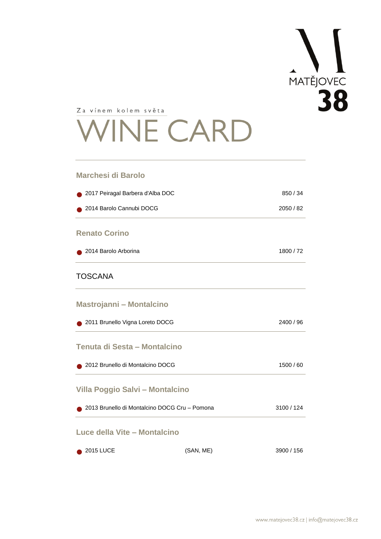

# **VINE CARD**

#### **Marchesi di Barolo**

| 2017 Peiragal Barbera d'Alba DOC              |           | 850 / 34   |
|-----------------------------------------------|-----------|------------|
| 2014 Barolo Cannubi DOCG                      |           | 2050 / 82  |
| <b>Renato Corino</b>                          |           |            |
| 2014 Barolo Arborina                          |           | 1800/72    |
| <b>TOSCANA</b>                                |           |            |
| <b>Mastrojanni - Montalcino</b>               |           |            |
| 2011 Brunello Vigna Loreto DOCG               |           | 2400 / 96  |
| Tenuta di Sesta - Montalcino                  |           |            |
| 2012 Brunello di Montalcino DOCG              |           | 1500 / 60  |
| Villa Poggio Salvi - Montalcino               |           |            |
| 2013 Brunello di Montalcino DOCG Cru - Pomona |           | 3100 / 124 |
| Luce della Vite - Montalcino                  |           |            |
| <b>2015 LUCE</b>                              | (SAN, ME) | 3900 / 156 |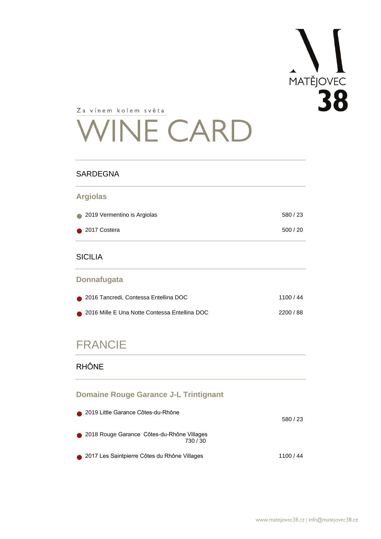

# **VINE CARD**

#### **SARDEGNA**

## **Argiolas** ● 2019 Vermentino is Argiolas 580 / 23 ● 2017 Costera 500 / 20

#### SICILIA

#### **Donnafugata**

| 2016 Tancredi, Contessa Entellina DOC           | 1100/44 |
|-------------------------------------------------|---------|
| ● 2016 Mille E Una Notte Contessa Entellina DOC | 2200/88 |

### FRANCIE

#### RHÔNE

#### **Domaine Rouge Garance J-L Trintignant**

|           | 2019 Little Garance Côtes-du-Rhône                   | 580/23    |
|-----------|------------------------------------------------------|-----------|
| $\bullet$ | 2018 Rouge Garance Côtes-du-Rhône Villages<br>730/30 |           |
|           | ● 2017 Les Saintpierre Côtes du Rhône Villages       | 1100 / 44 |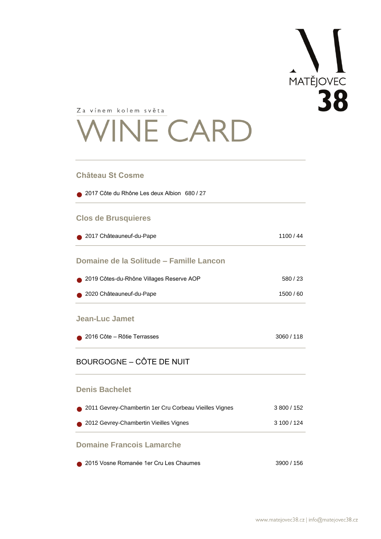# MATEJOVEC

Za vínem kolem světa

# **VINE CARD**

#### **Château St Cosme**

| 2017 Côte du Rhône Les deux Albion 680 / 27 |           |
|---------------------------------------------|-----------|
| <b>Clos de Brusquieres</b>                  |           |
| 2017 Châteauneuf-du-Pape                    | 1100/44   |
| Domaine de la Solitude – Famille Lancon     |           |
| 2019 Côtes-du-Rhône Villages Reserve AOP    | 580/23    |
| 2020 Châteauneuf-du-Pape                    | 1500 / 60 |
| <b>Jean-Luc Jamet</b>                       |           |
| 2016 Côte – Rôtie Terrasses                 | 3060/118  |
| <b>BOURGOGNE - CÔTE DE NUIT</b>             |           |

#### **Denis Bachelet**

| <b>Domaine Francois Lamarche</b>                       |             |
|--------------------------------------------------------|-------------|
| 2012 Gevrey-Chambertin Vieilles Vignes                 | 3100/124    |
| 2011 Gevrey-Chambertin 1er Cru Corbeau Vieilles Vignes | 3 800 / 152 |

## ● 2015 Vosne Romanée 1er Cru Les Chaumes 3900 / 156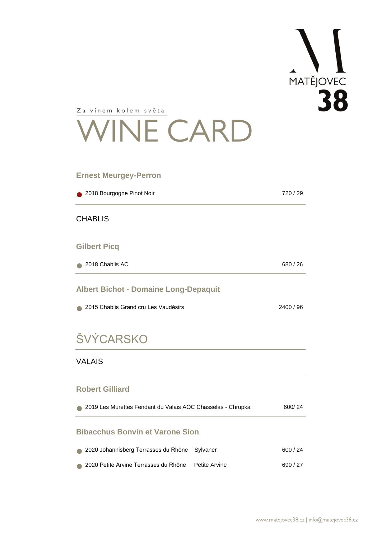

# **VINE CARD**

#### **Ernest Meurgey-Perron**

| 2018 Bourgogne Pinot Noir<br>$\bullet$ |  |
|----------------------------------------|--|
| <b>CHABLIS</b>                         |  |
| <b>Gilbert Picq</b>                    |  |

| 2018 Chablis AC | 680/26 |
|-----------------|--------|
|                 |        |

#### **Albert Bichot - Domaine Long-Depaquit**

| • 2015 Chablis Grand cru Les Vaudésirs | 2400 / 96 |
|----------------------------------------|-----------|
|                                        |           |

## **ŠVÝCARSKO**

#### VALAIS

#### **Robert Gilliard**

| 2019 Les Murettes Fendant du Valais AOC Chasselas - Chrupka |               |        |
|-------------------------------------------------------------|---------------|--------|
| <b>Bibacchus Bonvin et Varone Sion</b>                      |               |        |
| 2020 Johannisberg Terrasses du Rhône                        | Sylvaner      | 600/24 |
| 2020 Petite Arvine Terrasses du Rhône                       | Petite Arvine | 690/27 |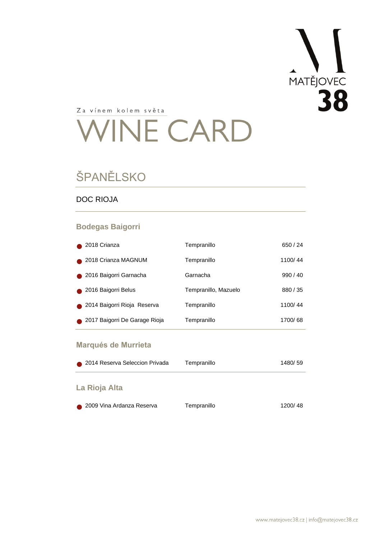

# WINE CARD

## ŠPANĚLSKO

#### DOC RIOJA

#### **Bodegas Baigorri**

| Tempranillo          | 650/24  |
|----------------------|---------|
| Tempranillo          | 1100/44 |
| Garnacha             | 990/40  |
| Tempranillo, Mazuelo | 880/35  |
| Tempranillo          | 1100/44 |
| Tempranillo          | 1700/68 |
|                      |         |

#### **Marqués de Murrieta**

| 2014 Reserva Seleccion Privada | Tempranillo | 1480/59 |
|--------------------------------|-------------|---------|
| La Rioja Alta                  |             |         |
| 2009 Vina Ardanza Reserva      | Tempranillo | 1200/48 |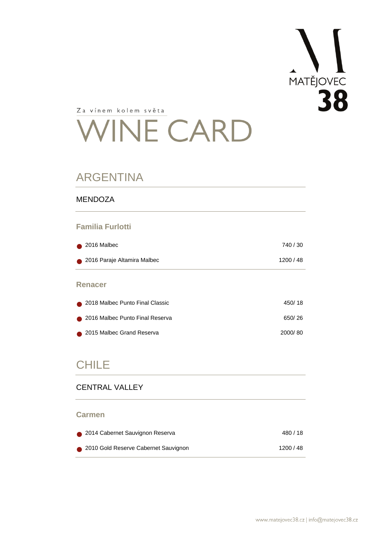

# WINE CARD

## ARGENTINA

#### MENDOZA

#### **Familia Furlotti**

| $\bullet$ 2016 Malbec       | 740/30  |
|-----------------------------|---------|
| 2016 Paraje Altamira Malbec | 1200/48 |

#### **Renacer**

| 2018 Malbec Punto Final Classic | 450/18  |
|---------------------------------|---------|
| 2016 Malbec Punto Final Reserva | 650/26  |
| 2015 Malbec Grand Reserva       | 2000/80 |

### CHILE

#### CENTRAL VALLEY

#### **Carmen**

| 2014 Cabernet Sauvignon Reserva      | 480/18  |
|--------------------------------------|---------|
| 2010 Gold Reserve Cabernet Sauvignon | 1200/48 |